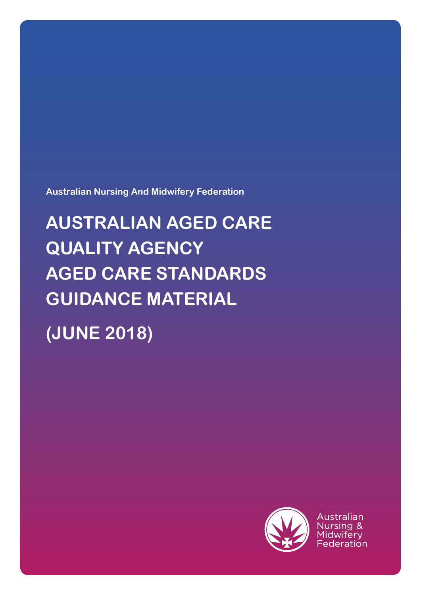**Australian Nursing And Midwifery Federation**

**AUSTRALIAN AGED CARE QUALITY AGENCY AGED CARE STANDARDS GUIDANCE MATERIAL (JUNE 2018)**



Australian Nursing & Midwifery Federation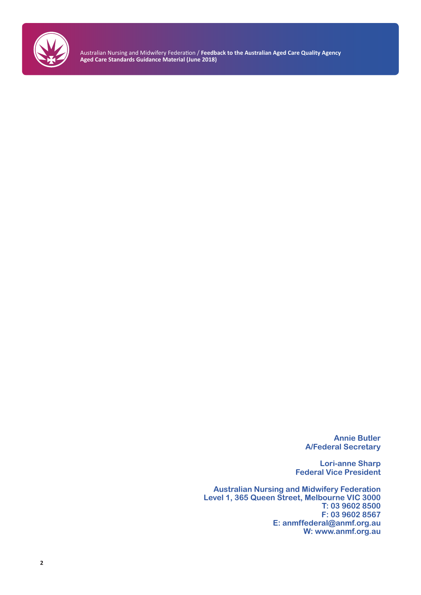

> **Annie Butler A/Federal Secretary**

**Lori-anne Sharp Federal Vice President**

**Australian Nursing and Midwifery Federation Level 1, 365 Queen Street, Melbourne VIC 3000 T: 03 9602 8500 F: 03 9602 8567 E: anmffederal@anmf.org.au W: www.anmf.org.au**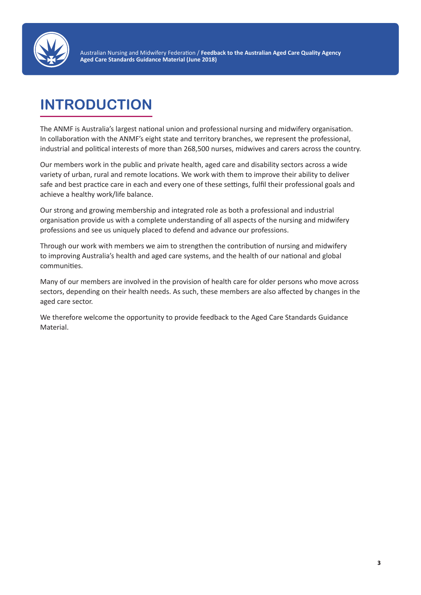

## **INTRODUCTION**

The ANMF is Australia's largest national union and professional nursing and midwifery organisation. In collaboration with the ANMF's eight state and territory branches, we represent the professional, industrial and political interests of more than 268,500 nurses, midwives and carers across the country.

Our members work in the public and private health, aged care and disability sectors across a wide variety of urban, rural and remote locations. We work with them to improve their ability to deliver safe and best practice care in each and every one of these settings, fulfil their professional goals and achieve a healthy work/life balance.

Our strong and growing membership and integrated role as both a professional and industrial organisation provide us with a complete understanding of all aspects of the nursing and midwifery professions and see us uniquely placed to defend and advance our professions.

Through our work with members we aim to strengthen the contribution of nursing and midwifery to improving Australia's health and aged care systems, and the health of our national and global communities.

Many of our members are involved in the provision of health care for older persons who move across sectors, depending on their health needs. As such, these members are also affected by changes in the aged care sector.

We therefore welcome the opportunity to provide feedback to the Aged Care Standards Guidance Material.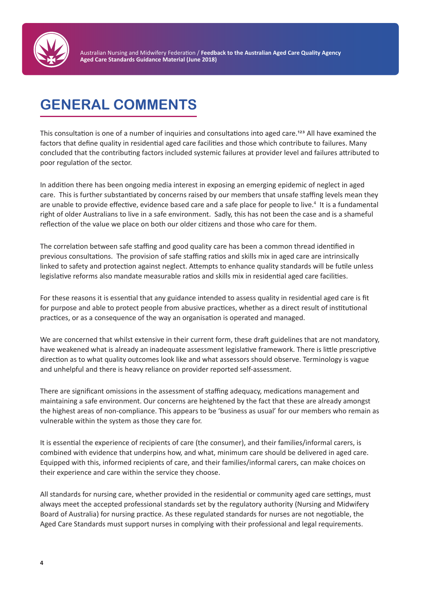

### **GENERAL COMMENTS**

This consultation is one of a number of inquiries and consultations into aged care.123 All have examined the factors that define quality in residential aged care facilities and those which contribute to failures. Many concluded that the contributing factors included systemic failures at provider level and failures attributed to poor regulation of the sector.

In addition there has been ongoing media interest in exposing an emerging epidemic of neglect in aged care. This is further substantiated by concerns raised by our members that unsafe staffing levels mean they are unable to provide effective, evidence based care and a safe place for people to live.<sup>4</sup> It is a fundamental right of older Australians to live in a safe environment. Sadly, this has not been the case and is a shameful reflection of the value we place on both our older citizens and those who care for them.

The correlation between safe staffing and good quality care has been a common thread identified in previous consultations. The provision of safe staffing ratios and skills mix in aged care are intrinsically linked to safety and protection against neglect. Attempts to enhance quality standards will be futile unless legislative reforms also mandate measurable ratios and skills mix in residential aged care facilities.

For these reasons it is essential that any guidance intended to assess quality in residential aged care is fit for purpose and able to protect people from abusive practices, whether as a direct result of institutional practices, or as a consequence of the way an organisation is operated and managed.

We are concerned that whilst extensive in their current form, these draft guidelines that are not mandatory, have weakened what is already an inadequate assessment legislative framework. There is little prescriptive direction as to what quality outcomes look like and what assessors should observe. Terminology is vague and unhelpful and there is heavy reliance on provider reported self-assessment.

There are significant omissions in the assessment of staffing adequacy, medications management and maintaining a safe environment. Our concerns are heightened by the fact that these are already amongst the highest areas of non-compliance. This appears to be 'business as usual' for our members who remain as vulnerable within the system as those they care for.

It is essential the experience of recipients of care (the consumer), and their families/informal carers, is combined with evidence that underpins how, and what, minimum care should be delivered in aged care. Equipped with this, informed recipients of care, and their families/informal carers, can make choices on their experience and care within the service they choose.

All standards for nursing care, whether provided in the residential or community aged care settings, must always meet the accepted professional standards set by the regulatory authority (Nursing and Midwifery Board of Australia) for nursing practice. As these regulated standards for nurses are not negotiable, the Aged Care Standards must support nurses in complying with their professional and legal requirements.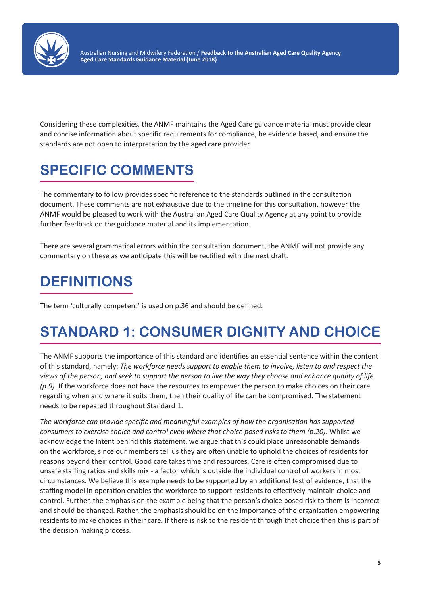

Considering these complexities, the ANMF maintains the Aged Care guidance material must provide clear and concise information about specific requirements for compliance, be evidence based, and ensure the standards are not open to interpretation by the aged care provider.

# **SPECIFIC COMMENTS**

The commentary to follow provides specific reference to the standards outlined in the consultation document. These comments are not exhaustive due to the timeline for this consultation, however the ANMF would be pleased to work with the Australian Aged Care Quality Agency at any point to provide further feedback on the guidance material and its implementation.

There are several grammatical errors within the consultation document, the ANMF will not provide any commentary on these as we anticipate this will be rectified with the next draft.

## **DEFINITIONS**

The term 'culturally competent' is used on p.36 and should be defined.

## **STANDARD 1: CONSUMER DIGNITY AND CHOICE**

The ANMF supports the importance of this standard and identifies an essential sentence within the content of this standard, namely: *The workforce needs support to enable them to involve, listen to and respect the views of the person, and seek to support the person to live the way they choose and enhance quality of life (p.9)*. If the workforce does not have the resources to empower the person to make choices on their care regarding when and where it suits them, then their quality of life can be compromised. The statement needs to be repeated throughout Standard 1.

*The workforce can provide specific and meaningful examples of how the organisation has supported consumers to exercise choice and control even where that choice posed risks to them (p.20)*. Whilst we acknowledge the intent behind this statement, we argue that this could place unreasonable demands on the workforce, since our members tell us they are often unable to uphold the choices of residents for reasons beyond their control. Good care takes time and resources. Care is often compromised due to unsafe staffing ratios and skills mix - a factor which is outside the individual control of workers in most circumstances. We believe this example needs to be supported by an additional test of evidence, that the staffing model in operation enables the workforce to support residents to effectively maintain choice and control. Further, the emphasis on the example being that the person's choice posed risk to them is incorrect and should be changed. Rather, the emphasis should be on the importance of the organisation empowering residents to make choices in their care. If there is risk to the resident through that choice then this is part of the decision making process.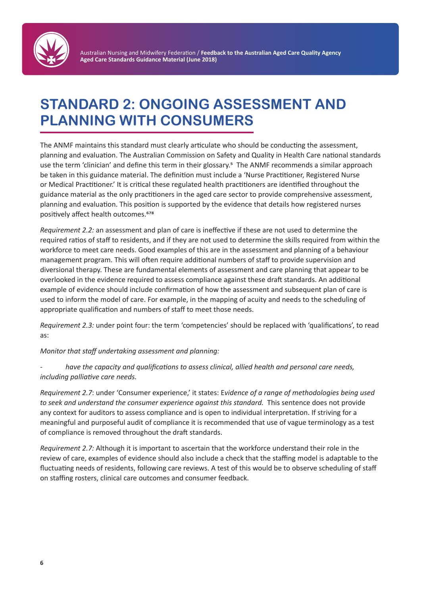

### **STANDARD 2: ONGOING ASSESSMENT AND PLANNING WITH CONSUMERS**

The ANMF maintains this standard must clearly articulate who should be conducting the assessment, planning and evaluation. The Australian Commission on Safety and Quality in Health Care national standards use the term 'clinician' and define this term in their glossary.<sup>5</sup> The ANMF recommends a similar approach be taken in this guidance material. The definition must include a 'Nurse Practitioner, Registered Nurse or Medical Practitioner.' It is critical these regulated health practitioners are identified throughout the guidance material as the only practitioners in the aged care sector to provide comprehensive assessment, planning and evaluation. This position is supported by the evidence that details how registered nurses positively affect health outcomes.<sup>678</sup>

*Requirement 2.2:* an assessment and plan of care is ineffective if these are not used to determine the required ratios of staff to residents, and if they are not used to determine the skills required from within the workforce to meet care needs. Good examples of this are in the assessment and planning of a behaviour management program. This will often require additional numbers of staff to provide supervision and diversional therapy. These are fundamental elements of assessment and care planning that appear to be overlooked in the evidence required to assess compliance against these draft standards. An additional example of evidence should include confirmation of how the assessment and subsequent plan of care is used to inform the model of care. For example, in the mapping of acuity and needs to the scheduling of appropriate qualification and numbers of staff to meet those needs.

*Requirement 2.3:* under point four: the term 'competencies' should be replaced with 'qualifications', to read as:

*Monitor that staff undertaking assessment and planning:*

*- have the capacity and qualifications to assess clinical, allied health and personal care needs, including palliative care needs.* 

*Requirement 2.7*: under 'Consumer experience,' it states: E*vidence of a range of methodologies being used to seek and understand the consumer experience against this standard.* This sentence does not provide any context for auditors to assess compliance and is open to individual interpretation. If striving for a meaningful and purposeful audit of compliance it is recommended that use of vague terminology as a test of compliance is removed throughout the draft standards.

*Requirement 2.7:* Although it is important to ascertain that the workforce understand their role in the review of care, examples of evidence should also include a check that the staffing model is adaptable to the fluctuating needs of residents, following care reviews. A test of this would be to observe scheduling of staff on staffing rosters, clinical care outcomes and consumer feedback.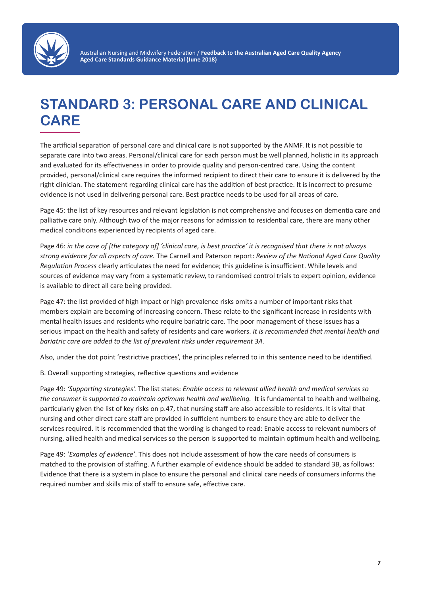

### **STANDARD 3: PERSONAL CARE AND CLINICAL CARE**

The artificial separation of personal care and clinical care is not supported by the ANMF. It is not possible to separate care into two areas. Personal/clinical care for each person must be well planned, holistic in its approach and evaluated for its effectiveness in order to provide quality and person-centred care. Using the content provided, personal/clinical care requires the informed recipient to direct their care to ensure it is delivered by the right clinician. The statement regarding clinical care has the addition of best practice. It is incorrect to presume evidence is not used in delivering personal care. Best practice needs to be used for all areas of care.

Page 45: the list of key resources and relevant legislation is not comprehensive and focuses on dementia care and palliative care only. Although two of the major reasons for admission to residential care, there are many other medical conditions experienced by recipients of aged care.

Page 46: *in the case of [the category of] 'clinical care, is best practice' it is recognised that there is not always strong evidence for all aspects of care.* The Carnell and Paterson report: *Review of the National Aged Care Quality Regulation Process* clearly articulates the need for evidence; this guideline is insufficient. While levels and sources of evidence may vary from a systematic review, to randomised control trials to expert opinion, evidence is available to direct all care being provided.

Page 47: the list provided of high impact or high prevalence risks omits a number of important risks that members explain are becoming of increasing concern. These relate to the significant increase in residents with mental health issues and residents who require bariatric care. The poor management of these issues has a serious impact on the health and safety of residents and care workers. *It is recommended that mental health and bariatric care are added to the list of prevalent risks under requirement 3A*.

Also, under the dot point 'restrictive practices', the principles referred to in this sentence need to be identified.

B. Overall supporting strategies, reflective questions and evidence

Page 49: *'Supporting strategies'.* The list states: *Enable access to relevant allied health and medical services so the consumer is supported to maintain optimum health and wellbeing.* It is fundamental to health and wellbeing, particularly given the list of key risks on p.47, that nursing staff are also accessible to residents. It is vital that nursing and other direct care staff are provided in sufficient numbers to ensure they are able to deliver the services required. It is recommended that the wording is changed to read: Enable access to relevant numbers of nursing, allied health and medical services so the person is supported to maintain optimum health and wellbeing.

Page 49: '*Examples of evidence'*. This does not include assessment of how the care needs of consumers is matched to the provision of staffing. A further example of evidence should be added to standard 3B, as follows: Evidence that there is a system in place to ensure the personal and clinical care needs of consumers informs the required number and skills mix of staff to ensure safe, effective care.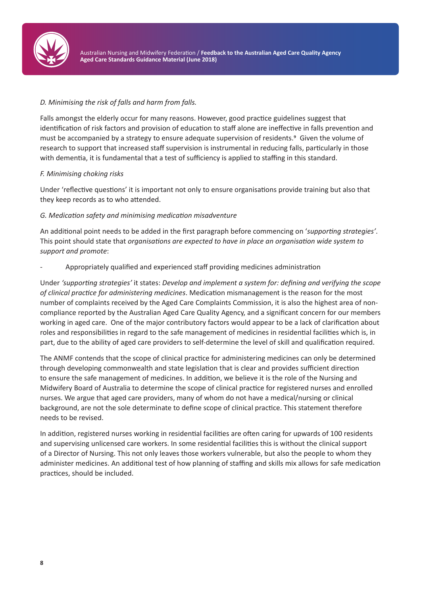

#### *D. Minimising the risk of falls and harm from falls.*

Falls amongst the elderly occur for many reasons. However, good practice guidelines suggest that identification of risk factors and provision of education to staff alone are ineffective in falls prevention and must be accompanied by a strategy to ensure adequate supervision of residents.9 Given the volume of research to support that increased staff supervision is instrumental in reducing falls, particularly in those with dementia, it is fundamental that a test of sufficiency is applied to staffing in this standard.

#### *F. Minimising choking risks*

Under 'reflective questions' it is important not only to ensure organisations provide training but also that they keep records as to who attended.

#### *G. Medication safety and minimising medication misadventure*

An additional point needs to be added in the first paragraph before commencing on '*supporting strategies'*. This point should state that *organisations are expected to have in place an organisation wide system to support and promote*:

- Appropriately qualified and experienced staff providing medicines administration

Under *'supporting strategies'* it states: *Develop and implement a system for: defining and verifying the scope of clinical practice for administering medicines*. Medication mismanagement is the reason for the most number of complaints received by the Aged Care Complaints Commission, it is also the highest area of noncompliance reported by the Australian Aged Care Quality Agency, and a significant concern for our members working in aged care. One of the major contributory factors would appear to be a lack of clarification about roles and responsibilities in regard to the safe management of medicines in residential facilities which is, in part, due to the ability of aged care providers to self-determine the level of skill and qualification required.

The ANMF contends that the scope of clinical practice for administering medicines can only be determined through developing commonwealth and state legislation that is clear and provides sufficient direction to ensure the safe management of medicines. In addition, we believe it is the role of the Nursing and Midwifery Board of Australia to determine the scope of clinical practice for registered nurses and enrolled nurses. We argue that aged care providers, many of whom do not have a medical/nursing or clinical background, are not the sole determinate to define scope of clinical practice. This statement therefore needs to be revised.

In addition, registered nurses working in residential facilities are often caring for upwards of 100 residents and supervising unlicensed care workers. In some residential facilities this is without the clinical support of a Director of Nursing. This not only leaves those workers vulnerable, but also the people to whom they administer medicines. An additional test of how planning of staffing and skills mix allows for safe medication practices, should be included.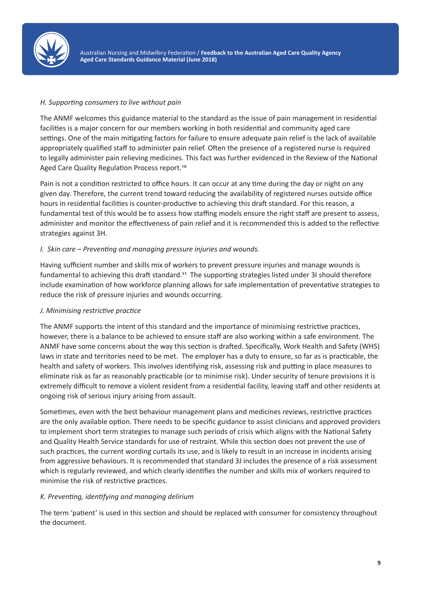

#### *H. Supporting consumers to live without pain*

The ANMF welcomes this guidance material to the standard as the issue of pain management in residential facilities is a major concern for our members working in both residential and community aged care settings. One of the main mitigating factors for failure to ensure adequate pain relief is the lack of available appropriately qualified staff to administer pain relief. Often the presence of a registered nurse is required to legally administer pain relieving medicines. This fact was further evidenced in the Review of the National Aged Care Quality Regulation Process report.<sup>10</sup>

Pain is not a condition restricted to office hours. It can occur at any time during the day or night on any given day. Therefore, the current trend toward reducing the availability of registered nurses outside office hours in residential facilities is counter-productive to achieving this draft standard. For this reason, a fundamental test of this would be to assess how staffing models ensure the right staff are present to assess, administer and monitor the effectiveness of pain relief and it is recommended this is added to the reflective strategies against 3H.

#### *I. Skin care – Preventing and managing pressure injuries and wounds.*

Having sufficient number and skills mix of workers to prevent pressure injuries and manage wounds is fundamental to achieving this draft standard.11 The supporting strategies listed under 3I should therefore include examination of how workforce planning allows for safe implementation of preventative strategies to reduce the risk of pressure injuries and wounds occurring.

#### *J. Minimising restrictive practice*

The ANMF supports the intent of this standard and the importance of minimising restrictive practices, however, there is a balance to be achieved to ensure staff are also working within a safe environment. The ANMF have some concerns about the way this section is drafted. Specifically, Work Health and Safety (WHS) laws in state and territories need to be met. The employer has a duty to ensure, so far as is practicable, the health and safety of workers. This involves identifying risk, assessing risk and putting in place measures to eliminate risk as far as reasonably practicable (or to minimise risk). Under security of tenure provisions it is extremely difficult to remove a violent resident from a residential facility, leaving staff and other residents at ongoing risk of serious injury arising from assault.

Sometimes, even with the best behaviour management plans and medicines reviews, restrictive practices are the only available option. There needs to be specific guidance to assist clinicians and approved providers to implement short term strategies to manage such periods of crisis which aligns with the National Safety and Quality Health Service standards for use of restraint. While this section does not prevent the use of such practices, the current wording curtails its use, and is likely to result in an increase in incidents arising from aggressive behaviours. It is recommended that standard 3J includes the presence of a risk assessment which is regularly reviewed, and which clearly identifies the number and skills mix of workers required to minimise the risk of restrictive practices.

#### *K. Preventing, identifying and managing delirium*

The term 'patient' is used in this section and should be replaced with consumer for consistency throughout the document.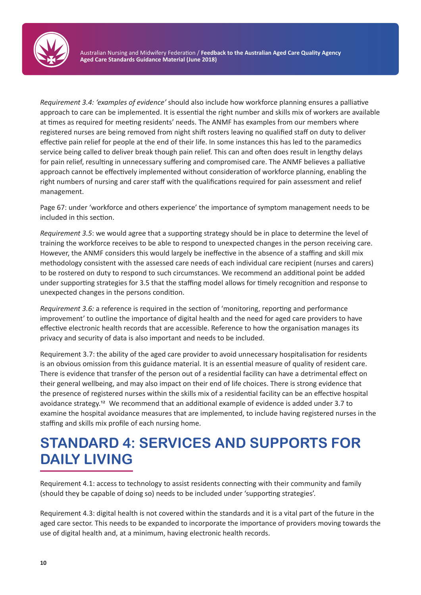

*Requirement 3.4: 'examples of evidence'* should also include how workforce planning ensures a palliative approach to care can be implemented. It is essential the right number and skills mix of workers are available at times as required for meeting residents' needs. The ANMF has examples from our members where registered nurses are being removed from night shift rosters leaving no qualified staff on duty to deliver effective pain relief for people at the end of their life. In some instances this has led to the paramedics service being called to deliver break though pain relief. This can and often does result in lengthy delays for pain relief, resulting in unnecessary suffering and compromised care. The ANMF believes a palliative approach cannot be effectively implemented without consideration of workforce planning, enabling the right numbers of nursing and carer staff with the qualifications required for pain assessment and relief management.

Page 67: under 'workforce and others experience' the importance of symptom management needs to be included in this section.

*Requirement 3.5*: we would agree that a supporting strategy should be in place to determine the level of training the workforce receives to be able to respond to unexpected changes in the person receiving care. However, the ANMF considers this would largely be ineffective in the absence of a staffing and skill mix methodology consistent with the assessed care needs of each individual care recipient (nurses and carers) to be rostered on duty to respond to such circumstances. We recommend an additional point be added under supporting strategies for 3.5 that the staffing model allows for timely recognition and response to unexpected changes in the persons condition.

*Requirement 3.6:* a reference is required in the section of 'monitoring, reporting and performance improvement' to outline the importance of digital health and the need for aged care providers to have effective electronic health records that are accessible. Reference to how the organisation manages its privacy and security of data is also important and needs to be included.

Requirement 3.7: the ability of the aged care provider to avoid unnecessary hospitalisation for residents is an obvious omission from this guidance material. It is an essential measure of quality of resident care. There is evidence that transfer of the person out of a residential facility can have a detrimental effect on their general wellbeing, and may also impact on their end of life choices. There is strong evidence that the presence of registered nurses within the skills mix of a residential facility can be an effective hospital avoidance strategy.12 We recommend that an additional example of evidence is added under 3.7 to examine the hospital avoidance measures that are implemented, to include having registered nurses in the staffing and skills mix profile of each nursing home.

### **STANDARD 4: SERVICES AND SUPPORTS FOR DAILY LIVING**

Requirement 4.1: access to technology to assist residents connecting with their community and family (should they be capable of doing so) needs to be included under 'supporting strategies'.

Requirement 4.3: digital health is not covered within the standards and it is a vital part of the future in the aged care sector. This needs to be expanded to incorporate the importance of providers moving towards the use of digital health and, at a minimum, having electronic health records.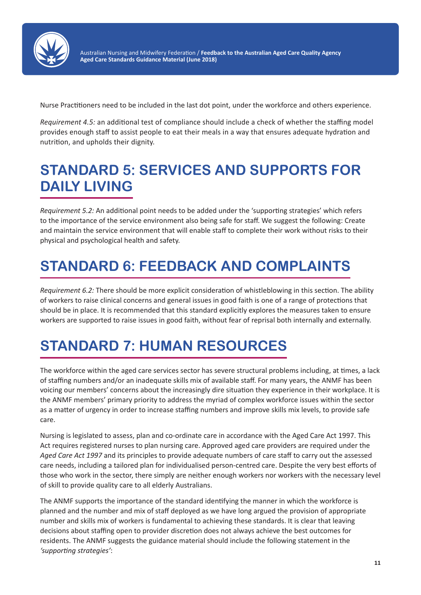

Nurse Practitioners need to be included in the last dot point, under the workforce and others experience.

*Requirement 4.5:* an additional test of compliance should include a check of whether the staffing model provides enough staff to assist people to eat their meals in a way that ensures adequate hydration and nutrition, and upholds their dignity.

### **STANDARD 5: SERVICES AND SUPPORTS FOR DAILY LIVING**

*Requirement 5.2:* An additional point needs to be added under the 'supporting strategies' which refers to the importance of the service environment also being safe for staff. We suggest the following: Create and maintain the service environment that will enable staff to complete their work without risks to their physical and psychological health and safety.

### **STANDARD 6: FEEDBACK AND COMPLAINTS**

*Requirement 6.2:* There should be more explicit consideration of whistleblowing in this section. The ability of workers to raise clinical concerns and general issues in good faith is one of a range of protections that should be in place. It is recommended that this standard explicitly explores the measures taken to ensure workers are supported to raise issues in good faith, without fear of reprisal both internally and externally.

## **STANDARD 7: HUMAN RESOURCES**

The workforce within the aged care services sector has severe structural problems including, at times, a lack of staffing numbers and/or an inadequate skills mix of available staff. For many years, the ANMF has been voicing our members' concerns about the increasingly dire situation they experience in their workplace. It is the ANMF members' primary priority to address the myriad of complex workforce issues within the sector as a matter of urgency in order to increase staffing numbers and improve skills mix levels, to provide safe care.

Nursing is legislated to assess, plan and co-ordinate care in accordance with the Aged Care Act 1997. This Act requires registered nurses to plan nursing care. Approved aged care providers are required under the *Aged Care Act 1997* and its principles to provide adequate numbers of care staff to carry out the assessed care needs, including a tailored plan for individualised person-centred care. Despite the very best efforts of those who work in the sector, there simply are neither enough workers nor workers with the necessary level of skill to provide quality care to all elderly Australians.

The ANMF supports the importance of the standard identifying the manner in which the workforce is planned and the number and mix of staff deployed as we have long argued the provision of appropriate number and skills mix of workers is fundamental to achieving these standards. It is clear that leaving decisions about staffing open to provider discretion does not always achieve the best outcomes for residents. The ANMF suggests the guidance material should include the following statement in the *'supporting strategies'*: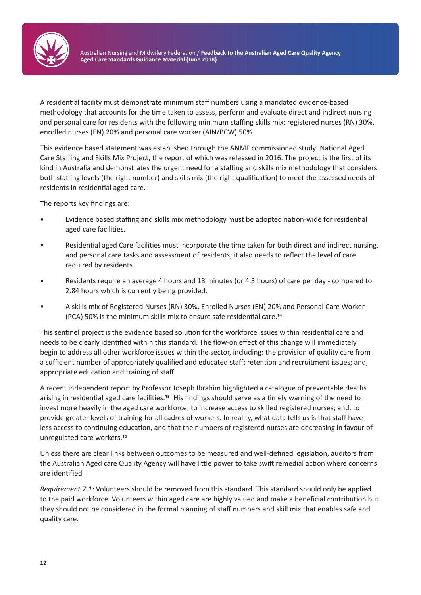

A residential facility must demonstrate minimum staff numbers using a mandated evidence-based methodology that accounts for the time taken to assess, perform and evaluate direct and indirect nursing and personal care for residents with the following minimum staffing skills mix: registered nurses (RN) 30%, enrolled nurses (EN) 20% and personal care worker (AIN/PCW) 50%.

This evidence based statement was established through the ANMF commissioned study: National Aged Care Staffing and Skills Mix Project, the report of which was released in 2016. The project is the first of its kind in Australia and demonstrates the urgent need for a staffing and skills mix methodology that considers both staffing levels (the right number) and skills mix (the right qualification) to meet the assessed needs of residents in residential aged care.

The reports key findings are:

- Evidence based staffing and skills mix methodology must be adopted nation-wide for residential aged care facilities.
- Residential aged Care facilities must incorporate the time taken for both direct and indirect nursing, and personal care tasks and assessment of residents; it also needs to reflect the level of care required by residents.
- Residents require an average 4 hours and 18 minutes (or 4.3 hours) of care per day compared to 2.84 hours which is currently being provided.
- A skills mix of Registered Nurses (RN) 30%, Enrolled Nurses (EN) 20% and Personal Care Worker (PCA) 50% is the minimum skills mix to ensure safe residential care.<sup>14</sup>

This sentinel project is the evidence based solution for the workforce issues within residential care and needs to be clearly identified within this standard. The flow-on effect of this change will immediately begin to address all other workforce issues within the sector, including: the provision of quality care from a sufficient number of appropriately qualified and educated staff; retention and recruitment issues; and, appropriate education and training of staff.

A recent independent report by Professor Joseph Ibrahim highlighted a catalogue of preventable deaths arising in residential aged care facilities.15 His findings should serve as a timely warning of the need to invest more heavily in the aged care workforce; to increase access to skilled registered nurses; and, to provide greater levels of training for all cadres of workers. In reality, what data tells us is that staff have less access to continuing education, and that the numbers of registered nurses are decreasing in favour of unregulated care workers.<sup>16</sup>

Unless there are clear links between outcomes to be measured and well-defined legislation, auditors from the Australian Aged care Quality Agency will have little power to take swift remedial action where concerns are identified

*Requirement 7.1:* Volunteers should be removed from this standard. This standard should only be applied to the paid workforce. Volunteers within aged care are highly valued and make a beneficial contribution but they should not be considered in the formal planning of staff numbers and skill mix that enables safe and quality care.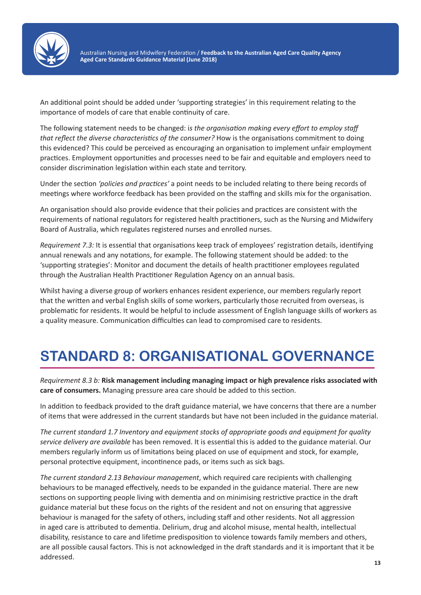

An additional point should be added under 'supporting strategies' in this requirement relating to the importance of models of care that enable continuity of care.

The following statement needs to be changed: i*s the organisation making every effort to employ staff that reflect the diverse characteristics of the consumer?* How is the organisations commitment to doing this evidenced? This could be perceived as encouraging an organisation to implement unfair employment practices. Employment opportunities and processes need to be fair and equitable and employers need to consider discrimination legislation within each state and territory.

Under the section *'policies and practices'* a point needs to be included relating to there being records of meetings where workforce feedback has been provided on the staffing and skills mix for the organisation.

An organisation should also provide evidence that their policies and practices are consistent with the requirements of national regulators for registered health practitioners, such as the Nursing and Midwifery Board of Australia, which regulates registered nurses and enrolled nurses.

*Requirement 7.3:* It is essential that organisations keep track of employees' registration details, identifying annual renewals and any notations, for example. The following statement should be added: to the 'supporting strategies': Monitor and document the details of health practitioner employees regulated through the Australian Health Practitioner Regulation Agency on an annual basis.

Whilst having a diverse group of workers enhances resident experience, our members regularly report that the written and verbal English skills of some workers, particularly those recruited from overseas, is problematic for residents. It would be helpful to include assessment of English language skills of workers as a quality measure. Communication difficulties can lead to compromised care to residents.

### **STANDARD 8: ORGANISATIONAL GOVERNANCE**

*Requirement 8.3 b:* **Risk management including managing impact or high prevalence risks associated with care of consumers.** Managing pressure area care should be added to this section.

In addition to feedback provided to the draft guidance material, we have concerns that there are a number of items that were addressed in the current standards but have not been included in the guidance material.

*The current standard 1.7 Inventory and equipment stocks of appropriate goods and equipment for quality service delivery are available* has been removed. It is essential this is added to the guidance material. Our members regularly inform us of limitations being placed on use of equipment and stock, for example, personal protective equipment, incontinence pads, or items such as sick bags.

*The current standard 2.13 Behaviour management*, which required care recipients with challenging behaviours to be managed effectively, needs to be expanded in the guidance material. There are new sections on supporting people living with dementia and on minimising restrictive practice in the draft guidance material but these focus on the rights of the resident and not on ensuring that aggressive behaviour is managed for the safety of others, including staff and other residents. Not all aggression in aged care is attributed to dementia. Delirium, drug and alcohol misuse, mental health, intellectual disability, resistance to care and lifetime predisposition to violence towards family members and others, are all possible causal factors. This is not acknowledged in the draft standards and it is important that it be addressed.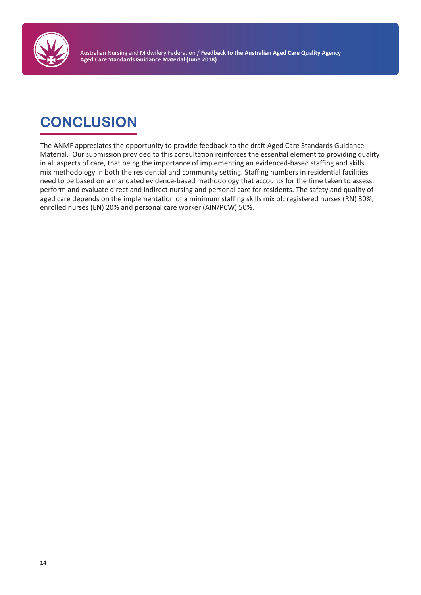

## **CONCLUSION**

The ANMF appreciates the opportunity to provide feedback to the draft Aged Care Standards Guidance Material. Our submission provided to this consultation reinforces the essential element to providing quality in all aspects of care, that being the importance of implementing an evidenced-based staffing and skills mix methodology in both the residential and community setting. Staffing numbers in residential facilities need to be based on a mandated evidence-based methodology that accounts for the time taken to assess, perform and evaluate direct and indirect nursing and personal care for residents. The safety and quality of aged care depends on the implementation of a minimum staffing skills mix of: registered nurses (RN) 30%, enrolled nurses (EN) 20% and personal care worker (AIN/PCW) 50%.